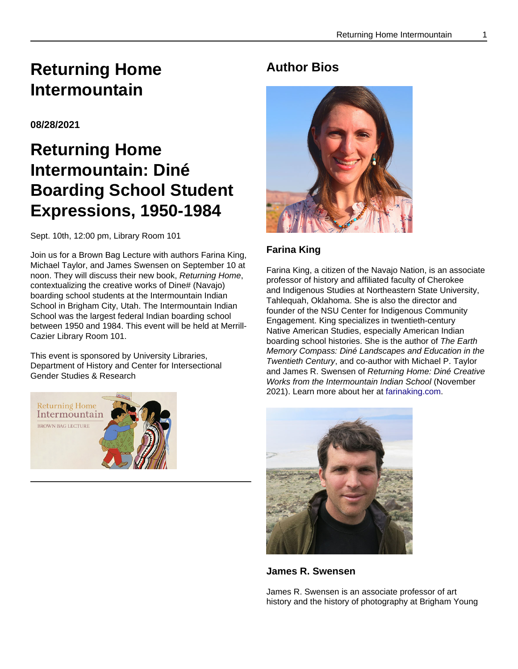## **Returning Home Intermountain**

**08/28/2021**

# **Returning Home Intermountain: Diné Boarding School Student Expressions, 1950-1984**

Sept. 10th, 12:00 pm, Library Room 101

Join us for a Brown Bag Lecture with authors Farina King, Michael Taylor, and James Swensen on September 10 at noon. They will discuss their new book, Returning Home, contextualizing the creative works of Dine# (Navajo) boarding school students at the Intermountain Indian School in Brigham City, Utah. The Intermountain Indian School was the largest federal Indian boarding school between 1950 and 1984. This event will be held at Merrill-Cazier Library Room 101.

This event is sponsored by University Libraries, Department of History and Center for Intersectional Gender Studies & Research



### **Author Bios**



### **Farina King**

Farina King, a citizen of the Navajo Nation, is an associate professor of history and affiliated faculty of Cherokee and Indigenous Studies at Northeastern State University, Tahlequah, Oklahoma. She is also the director and founder of the NSU Center for Indigenous Community Engagement. King specializes in twentieth-century Native American Studies, especially American Indian boarding school histories. She is the author of The Earth Memory Compass: Diné Landscapes and Education in the Twentieth Century, and co-author with Michael P. Taylor and James R. Swensen of Returning Home: Diné Creative Works from the Intermountain Indian School (November 2021). Learn more about her at [farinaking.com](https://farinaking.com/).



**James R. Swensen**

James R. Swensen is an associate professor of art history and the history of photography at Brigham Young